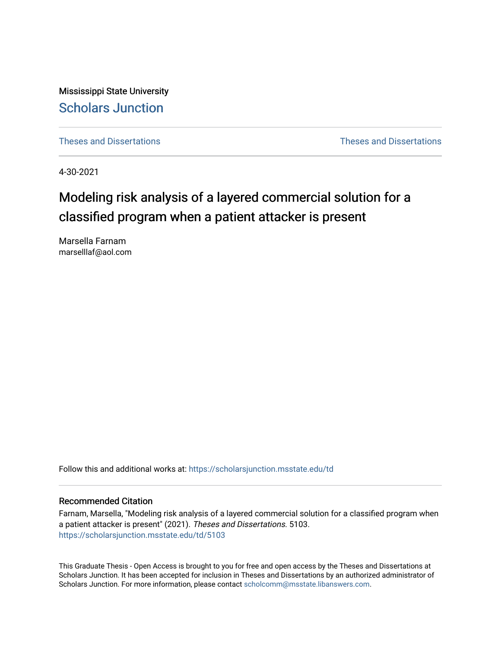Mississippi State University [Scholars Junction](https://scholarsjunction.msstate.edu/) 

[Theses and Dissertations](https://scholarsjunction.msstate.edu/td) [Theses and Dissertations](https://scholarsjunction.msstate.edu/theses-dissertations) 

4-30-2021

# Modeling risk analysis of a layered commercial solution for a classified program when a patient attacker is present

Marsella Farnam marselllaf@aol.com

Follow this and additional works at: [https://scholarsjunction.msstate.edu/td](https://scholarsjunction.msstate.edu/td?utm_source=scholarsjunction.msstate.edu%2Ftd%2F5103&utm_medium=PDF&utm_campaign=PDFCoverPages) 

#### Recommended Citation

Farnam, Marsella, "Modeling risk analysis of a layered commercial solution for a classified program when a patient attacker is present" (2021). Theses and Dissertations. 5103. [https://scholarsjunction.msstate.edu/td/5103](https://scholarsjunction.msstate.edu/td/5103?utm_source=scholarsjunction.msstate.edu%2Ftd%2F5103&utm_medium=PDF&utm_campaign=PDFCoverPages) 

This Graduate Thesis - Open Access is brought to you for free and open access by the Theses and Dissertations at Scholars Junction. It has been accepted for inclusion in Theses and Dissertations by an authorized administrator of Scholars Junction. For more information, please contact [scholcomm@msstate.libanswers.com.](mailto:scholcomm@msstate.libanswers.com)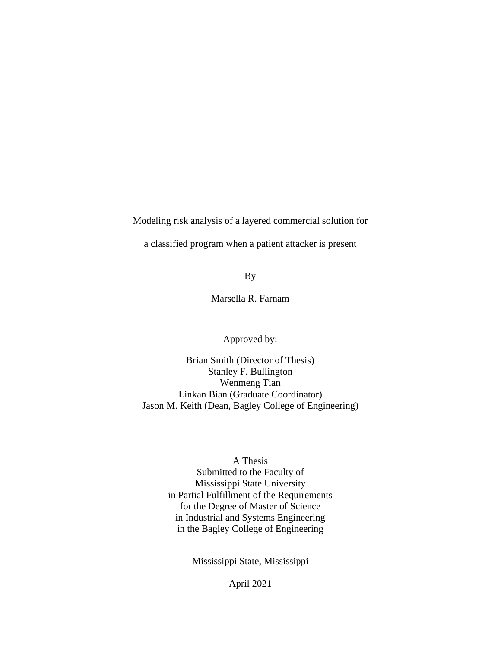Modeling risk analysis of a layered commercial solution for

a classified program when a patient attacker is present

By

Marsella R. Farnam

Approved by:

Brian Smith (Director of Thesis) Stanley F. Bullington Wenmeng Tian Linkan Bian (Graduate Coordinator) Jason M. Keith (Dean, Bagley College of Engineering)

### A Thesis

Submitted to the Faculty of Mississippi State University in Partial Fulfillment of the Requirements for the Degree of Master of Science in Industrial and Systems Engineering in the Bagley College of Engineering

Mississippi State, Mississippi

April 2021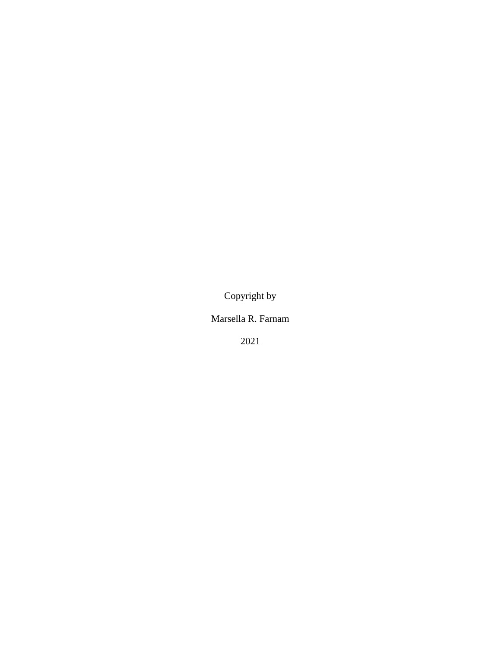Copyright by

Marsella R. Farnam

2021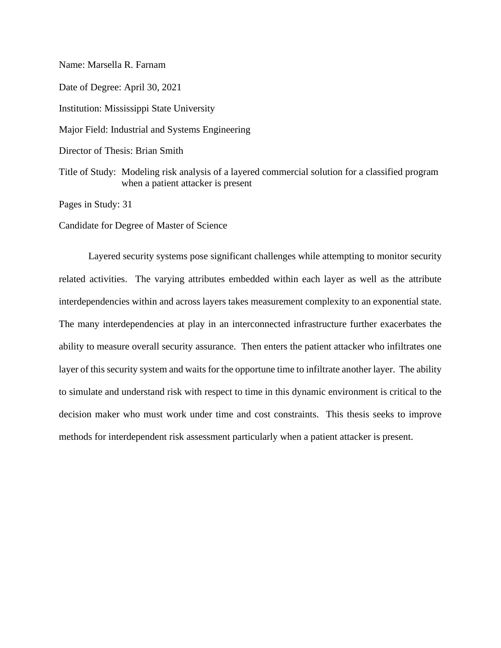Name: Marsella R. Farnam Date of Degree: April 30, 2021 Institution: Mississippi State University Major Field: Industrial and Systems Engineering Director of Thesis: Brian Smith Title of Study: Modeling risk analysis of a layered commercial solution for a classified program when a patient attacker is present

Pages in Study: 31

Candidate for Degree of Master of Science

Layered security systems pose significant challenges while attempting to monitor security related activities. The varying attributes embedded within each layer as well as the attribute interdependencies within and across layers takes measurement complexity to an exponential state. The many interdependencies at play in an interconnected infrastructure further exacerbates the ability to measure overall security assurance. Then enters the patient attacker who infiltrates one layer of this security system and waits for the opportune time to infiltrate another layer. The ability to simulate and understand risk with respect to time in this dynamic environment is critical to the decision maker who must work under time and cost constraints. This thesis seeks to improve methods for interdependent risk assessment particularly when a patient attacker is present.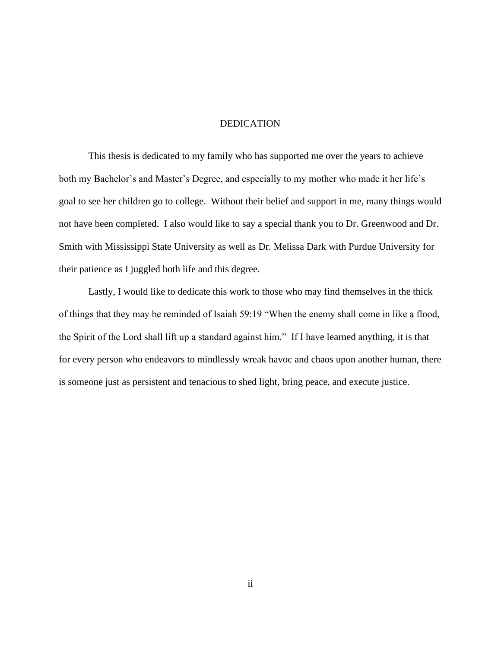#### DEDICATION

<span id="page-4-0"></span>This thesis is dedicated to my family who has supported me over the years to achieve both my Bachelor's and Master's Degree, and especially to my mother who made it her life's goal to see her children go to college. Without their belief and support in me, many things would not have been completed. I also would like to say a special thank you to Dr. Greenwood and Dr. Smith with Mississippi State University as well as Dr. Melissa Dark with Purdue University for their patience as I juggled both life and this degree.

Lastly, I would like to dedicate this work to those who may find themselves in the thick of things that they may be reminded of Isaiah 59:19 "When the enemy shall come in like a flood, the Spirit of the Lord shall lift up a standard against him." If I have learned anything, it is that for every person who endeavors to mindlessly wreak havoc and chaos upon another human, there is someone just as persistent and tenacious to shed light, bring peace, and execute justice.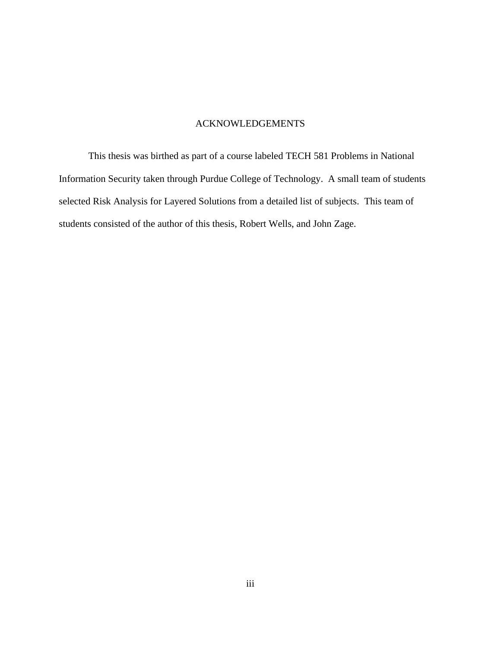#### ACKNOWLEDGEMENTS

<span id="page-5-0"></span>This thesis was birthed as part of a course labeled TECH 581 Problems in National Information Security taken through Purdue College of Technology. A small team of students selected Risk Analysis for Layered Solutions from a detailed list of subjects. This team of students consisted of the author of this thesis, Robert Wells, and John Zage.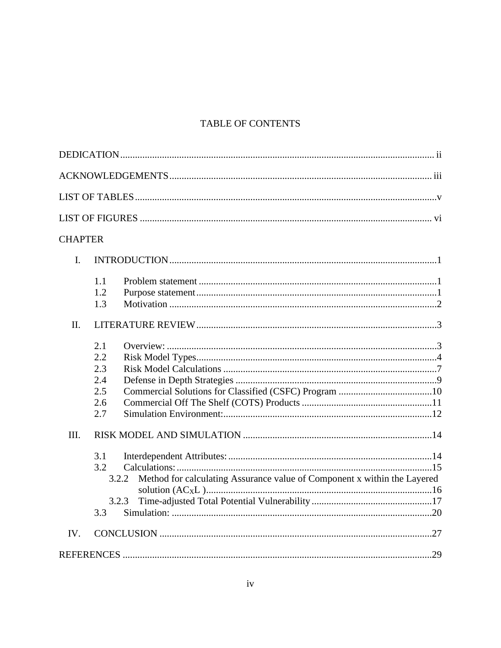# TABLE OF CONTENTS

| <b>CHAPTER</b> |                                                                                                                 |  |
|----------------|-----------------------------------------------------------------------------------------------------------------|--|
| $I_{\cdot}$    |                                                                                                                 |  |
|                | 1.1<br>1.2<br>1.3                                                                                               |  |
| II.            |                                                                                                                 |  |
|                | 2.1<br>2.2<br>2.3<br>2.4<br>2.5<br>2.6<br>2.7                                                                   |  |
| III.           | 3.1<br>3.2<br>Method for calculating Assurance value of Component x within the Layered<br>3.2.2<br>3.2.3<br>3.3 |  |
| IV.            |                                                                                                                 |  |
|                |                                                                                                                 |  |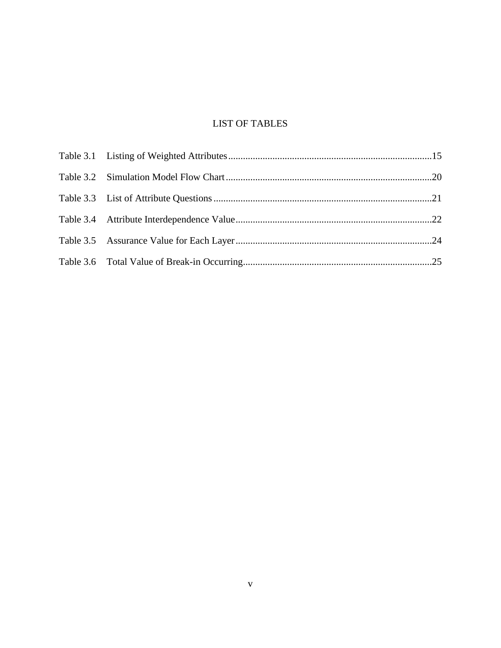# LIST OF TABLES

<span id="page-7-0"></span>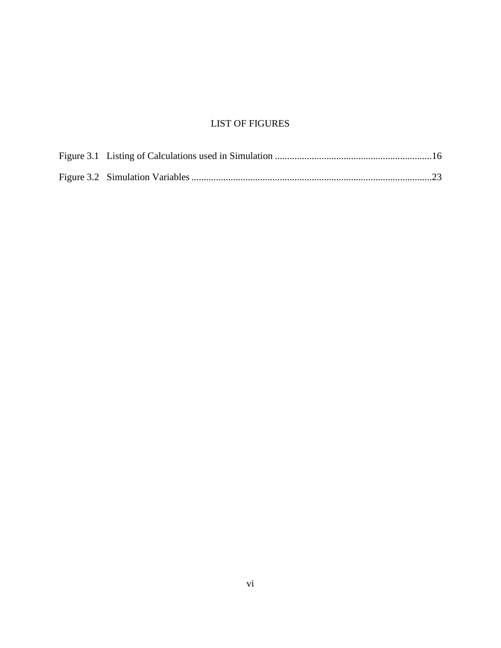# LIST OF FIGURES

<span id="page-8-0"></span>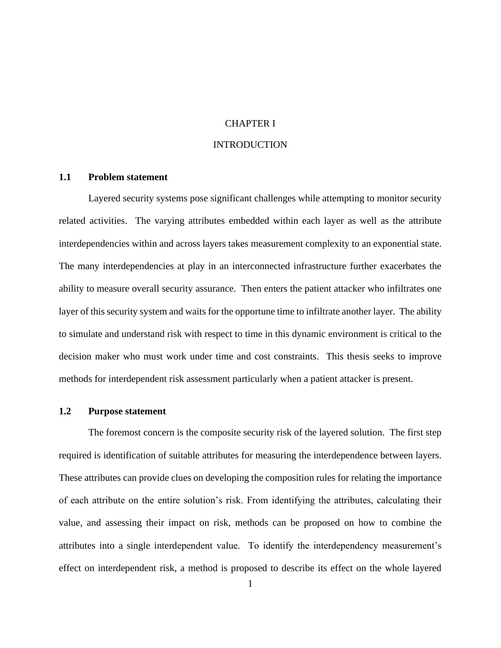#### CHAPTER I

#### INTRODUCTION

#### <span id="page-9-2"></span><span id="page-9-1"></span><span id="page-9-0"></span>**1.1 Problem statement**

Layered security systems pose significant challenges while attempting to monitor security related activities. The varying attributes embedded within each layer as well as the attribute interdependencies within and across layers takes measurement complexity to an exponential state. The many interdependencies at play in an interconnected infrastructure further exacerbates the ability to measure overall security assurance. Then enters the patient attacker who infiltrates one layer of this security system and waits for the opportune time to infiltrate another layer. The ability to simulate and understand risk with respect to time in this dynamic environment is critical to the decision maker who must work under time and cost constraints. This thesis seeks to improve methods for interdependent risk assessment particularly when a patient attacker is present.

#### <span id="page-9-3"></span>**1.2 Purpose statement**

The foremost concern is the composite security risk of the layered solution. The first step required is identification of suitable attributes for measuring the interdependence between layers. These attributes can provide clues on developing the composition rules for relating the importance of each attribute on the entire solution's risk. From identifying the attributes, calculating their value, and assessing their impact on risk, methods can be proposed on how to combine the attributes into a single interdependent value. To identify the interdependency measurement's effect on interdependent risk, a method is proposed to describe its effect on the whole layered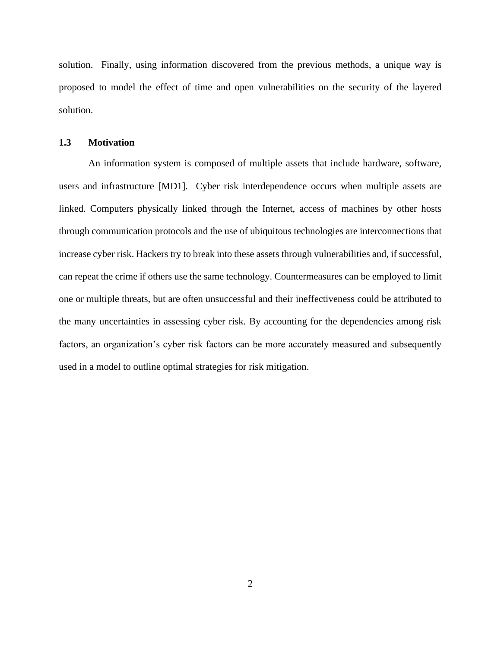solution. Finally, using information discovered from the previous methods, a unique way is proposed to model the effect of time and open vulnerabilities on the security of the layered solution.

#### <span id="page-10-0"></span>**1.3 Motivation**

An information system is composed of multiple assets that include hardware, software, users and infrastructure [MD1]. Cyber risk interdependence occurs when multiple assets are linked. Computers physically linked through the Internet, access of machines by other hosts through communication protocols and the use of ubiquitous technologies are interconnections that increase cyber risk. Hackers try to break into these assets through vulnerabilities and, if successful, can repeat the crime if others use the same technology. Countermeasures can be employed to limit one or multiple threats, but are often unsuccessful and their ineffectiveness could be attributed to the many uncertainties in assessing cyber risk. By accounting for the dependencies among risk factors, an organization's cyber risk factors can be more accurately measured and subsequently used in a model to outline optimal strategies for risk mitigation.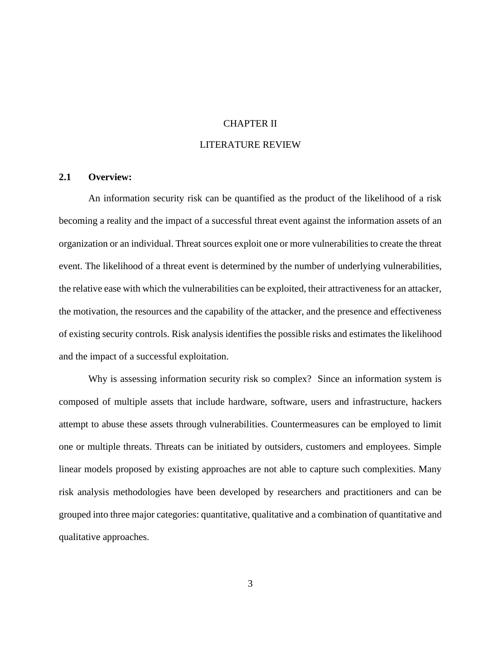#### CHAPTER II

### LITERATURE REVIEW

#### <span id="page-11-1"></span><span id="page-11-0"></span>**2.1 Overview:**

An information security risk can be quantified as the product of the likelihood of a risk becoming a reality and the impact of a successful threat event against the information assets of an organization or an individual. Threat sources exploit one or more vulnerabilities to create the threat event. The likelihood of a threat event is determined by the number of underlying vulnerabilities, the relative ease with which the vulnerabilities can be exploited, their attractiveness for an attacker, the motivation, the resources and the capability of the attacker, and the presence and effectiveness of existing security controls. Risk analysis identifies the possible risks and estimates the likelihood and the impact of a successful exploitation.

Why is assessing information security risk so complex? Since an information system is composed of multiple assets that include hardware, software, users and infrastructure, hackers attempt to abuse these assets through vulnerabilities. Countermeasures can be employed to limit one or multiple threats. Threats can be initiated by outsiders, customers and employees. Simple linear models proposed by existing approaches are not able to capture such complexities. Many risk analysis methodologies have been developed by researchers and practitioners and can be grouped into three major categories: quantitative, qualitative and a combination of quantitative and qualitative approaches.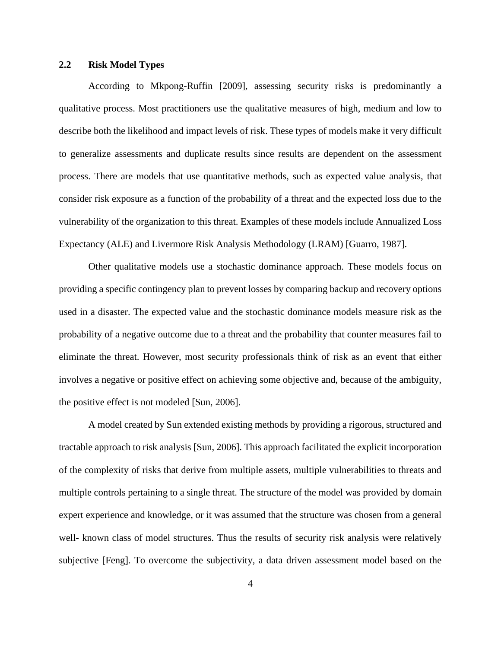# <span id="page-12-0"></span>**2.2 Risk Model Types**

According to Mkpong-Ruffin [2009], assessing security risks is predominantly a qualitative process. Most practitioners use the qualitative measures of high, medium and low to describe both the likelihood and impact levels of risk. These types of models make it very difficult to generalize assessments and duplicate results since results are dependent on the assessment process. There are models that use quantitative methods, such as expected value analysis, that consider risk exposure as a function of the probability of a threat and the expected loss due to the vulnerability of the organization to this threat. Examples of these models include Annualized Loss Expectancy (ALE) and Livermore Risk Analysis Methodology (LRAM) [Guarro, 1987].

Other qualitative models use a stochastic dominance approach. These models focus on providing a specific contingency plan to prevent losses by comparing backup and recovery options used in a disaster. The expected value and the stochastic dominance models measure risk as the probability of a negative outcome due to a threat and the probability that counter measures fail to eliminate the threat. However, most security professionals think of risk as an event that either involves a negative or positive effect on achieving some objective and, because of the ambiguity, the positive effect is not modeled [Sun, 2006].

A model created by Sun extended existing methods by providing a rigorous, structured and tractable approach to risk analysis [Sun, 2006]. This approach facilitated the explicit incorporation of the complexity of risks that derive from multiple assets, multiple vulnerabilities to threats and multiple controls pertaining to a single threat. The structure of the model was provided by domain expert experience and knowledge, or it was assumed that the structure was chosen from a general well- known class of model structures. Thus the results of security risk analysis were relatively subjective [Feng]. To overcome the subjectivity, a data driven assessment model based on the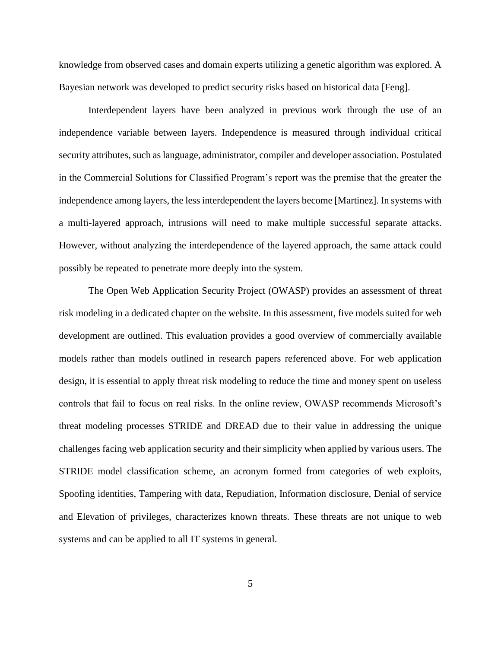knowledge from observed cases and domain experts utilizing a genetic algorithm was explored. A Bayesian network was developed to predict security risks based on historical data [Feng].

Interdependent layers have been analyzed in previous work through the use of an independence variable between layers. Independence is measured through individual critical security attributes, such as language, administrator, compiler and developer association. Postulated in the Commercial Solutions for Classified Program's report was the premise that the greater the independence among layers, the less interdependent the layers become [Martinez]. In systems with a multi-layered approach, intrusions will need to make multiple successful separate attacks. However, without analyzing the interdependence of the layered approach, the same attack could possibly be repeated to penetrate more deeply into the system.

The Open Web Application Security Project (OWASP) provides an assessment of threat risk modeling in a dedicated chapter on the website. In this assessment, five models suited for web development are outlined. This evaluation provides a good overview of commercially available models rather than models outlined in research papers referenced above. For web application design, it is essential to apply threat risk modeling to reduce the time and money spent on useless controls that fail to focus on real risks. In the online review, OWASP recommends Microsoft's threat modeling processes STRIDE and DREAD due to their value in addressing the unique challenges facing web application security and their simplicity when applied by various users. The STRIDE model classification scheme, an acronym formed from categories of web exploits, Spoofing identities, Tampering with data, Repudiation, Information disclosure, Denial of service and Elevation of privileges, characterizes known threats. These threats are not unique to web systems and can be applied to all IT systems in general.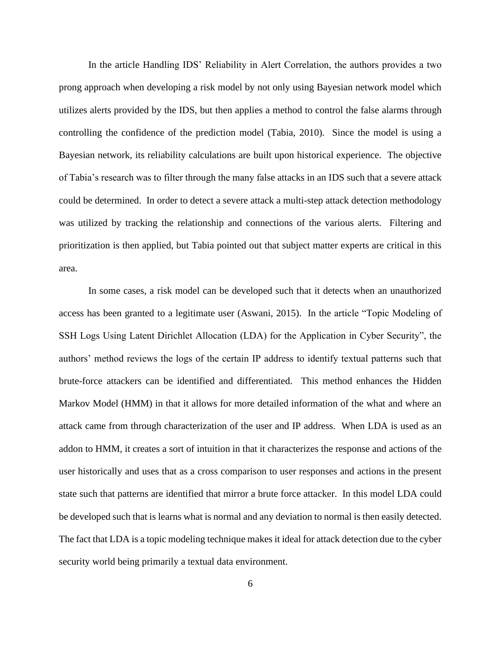In the article Handling IDS' Reliability in Alert Correlation, the authors provides a two prong approach when developing a risk model by not only using Bayesian network model which utilizes alerts provided by the IDS, but then applies a method to control the false alarms through controlling the confidence of the prediction model (Tabia, 2010). Since the model is using a Bayesian network, its reliability calculations are built upon historical experience. The objective of Tabia's research was to filter through the many false attacks in an IDS such that a severe attack could be determined. In order to detect a severe attack a multi-step attack detection methodology was utilized by tracking the relationship and connections of the various alerts. Filtering and prioritization is then applied, but Tabia pointed out that subject matter experts are critical in this area.

In some cases, a risk model can be developed such that it detects when an unauthorized access has been granted to a legitimate user (Aswani, 2015). In the article "Topic Modeling of SSH Logs Using Latent Dirichlet Allocation (LDA) for the Application in Cyber Security", the authors' method reviews the logs of the certain IP address to identify textual patterns such that brute-force attackers can be identified and differentiated. This method enhances the Hidden Markov Model (HMM) in that it allows for more detailed information of the what and where an attack came from through characterization of the user and IP address. When LDA is used as an addon to HMM, it creates a sort of intuition in that it characterizes the response and actions of the user historically and uses that as a cross comparison to user responses and actions in the present state such that patterns are identified that mirror a brute force attacker. In this model LDA could be developed such that is learns what is normal and any deviation to normal is then easily detected. The fact that LDA is a topic modeling technique makes it ideal for attack detection due to the cyber security world being primarily a textual data environment.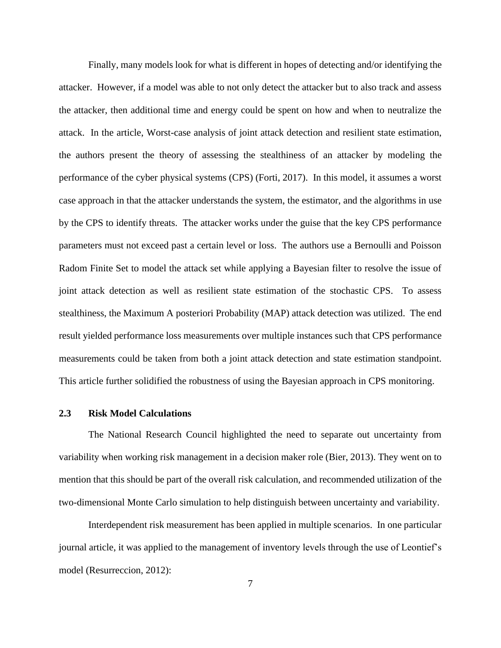Finally, many models look for what is different in hopes of detecting and/or identifying the attacker. However, if a model was able to not only detect the attacker but to also track and assess the attacker, then additional time and energy could be spent on how and when to neutralize the attack. In the article, Worst-case analysis of joint attack detection and resilient state estimation, the authors present the theory of assessing the stealthiness of an attacker by modeling the performance of the cyber physical systems (CPS) (Forti, 2017). In this model, it assumes a worst case approach in that the attacker understands the system, the estimator, and the algorithms in use by the CPS to identify threats. The attacker works under the guise that the key CPS performance parameters must not exceed past a certain level or loss. The authors use a Bernoulli and Poisson Radom Finite Set to model the attack set while applying a Bayesian filter to resolve the issue of joint attack detection as well as resilient state estimation of the stochastic CPS. To assess stealthiness, the Maximum A posteriori Probability (MAP) attack detection was utilized. The end result yielded performance loss measurements over multiple instances such that CPS performance measurements could be taken from both a joint attack detection and state estimation standpoint. This article further solidified the robustness of using the Bayesian approach in CPS monitoring.

#### <span id="page-15-0"></span>**2.3 Risk Model Calculations**

The National Research Council highlighted the need to separate out uncertainty from variability when working risk management in a decision maker role (Bier, 2013). They went on to mention that this should be part of the overall risk calculation, and recommended utilization of the two-dimensional Monte Carlo simulation to help distinguish between uncertainty and variability.

Interdependent risk measurement has been applied in multiple scenarios. In one particular journal article, it was applied to the management of inventory levels through the use of Leontief's model (Resurreccion, 2012):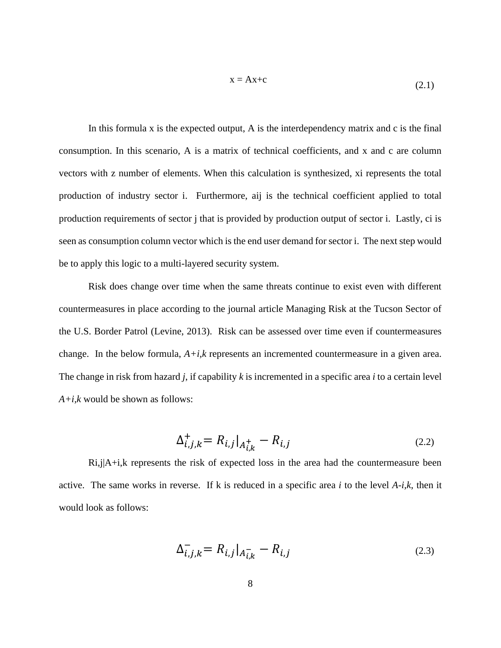$$
x = Ax + c \tag{2.1}
$$

In this formula x is the expected output, A is the interdependency matrix and c is the final consumption. In this scenario, A is a matrix of technical coefficients, and x and c are column vectors with z number of elements. When this calculation is synthesized, xi represents the total production of industry sector i. Furthermore, aij is the technical coefficient applied to total production requirements of sector j that is provided by production output of sector i. Lastly, ci is seen as consumption column vector which is the end user demand for sector i. The next step would be to apply this logic to a multi-layered security system.

Risk does change over time when the same threats continue to exist even with different countermeasures in place according to the journal article Managing Risk at the Tucson Sector of the U.S. Border Patrol (Levine, 2013). Risk can be assessed over time even if countermeasures change. In the below formula,  $A+i,k$  represents an incremented countermeasure in a given area. The change in risk from hazard *j*, if capability *k* is incremented in a specific area *i* to a certain level *A+i,k* would be shown as follows:

$$
\Delta_{i,j,k}^{+} = R_{i,j}|_{A_{i,k}^{+}} - R_{i,j}
$$
\n(2.2)

Ri,j|A+i,k represents the risk of expected loss in the area had the countermeasure been active. The same works in reverse. If k is reduced in a specific area *i* to the level *A-i,k*, then it would look as follows:

$$
\Delta_{i,j,k}^- = R_{i,j}|_{A_{i,k}^-} - R_{i,j}
$$
\n(2.3)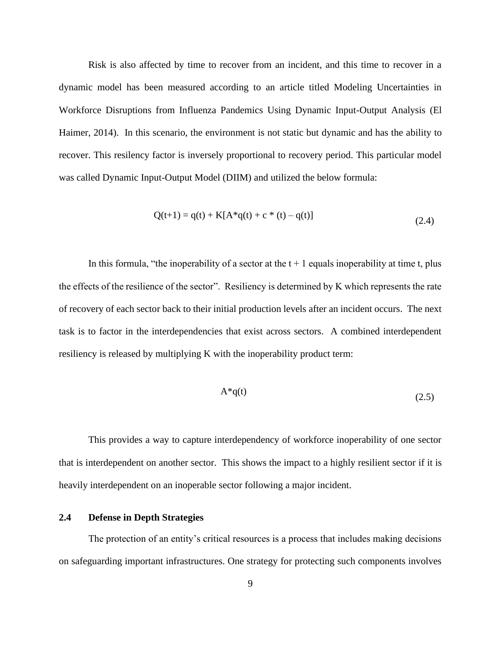Risk is also affected by time to recover from an incident, and this time to recover in a dynamic model has been measured according to an article titled Modeling Uncertainties in Workforce Disruptions from Influenza Pandemics Using Dynamic Input-Output Analysis (El Haimer, 2014). In this scenario, the environment is not static but dynamic and has the ability to recover. This resilency factor is inversely proportional to recovery period. This particular model was called Dynamic Input-Output Model (DIIM) and utilized the below formula:

$$
Q(t+1) = q(t) + K[A^*q(t) + c^* (t) - q(t)]
$$
\n(2.4)

In this formula, "the inoperability of a sector at the  $t + 1$  equals inoperability at time t, plus the effects of the resilience of the sector". Resiliency is determined by K which represents the rate of recovery of each sector back to their initial production levels after an incident occurs. The next task is to factor in the interdependencies that exist across sectors. A combined interdependent resiliency is released by multiplying K with the inoperability product term:

$$
A^*q(t) \tag{2.5}
$$

This provides a way to capture interdependency of workforce inoperability of one sector that is interdependent on another sector. This shows the impact to a highly resilient sector if it is heavily interdependent on an inoperable sector following a major incident.

### <span id="page-17-0"></span>**2.4 Defense in Depth Strategies**

The protection of an entity's critical resources is a process that includes making decisions on safeguarding important infrastructures. One strategy for protecting such components involves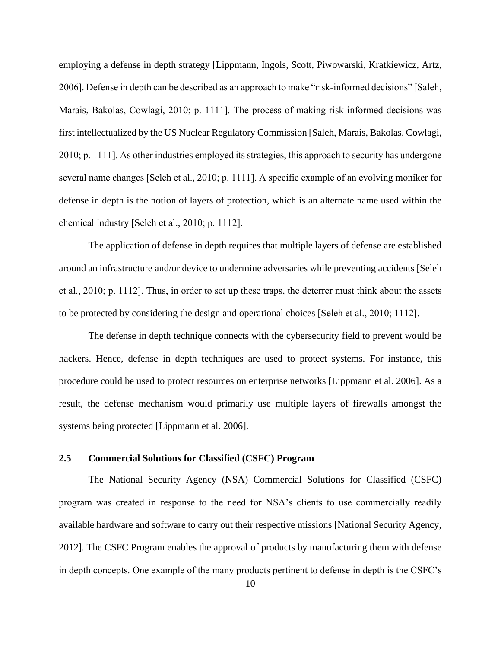employing a defense in depth strategy [Lippmann, Ingols, Scott, Piwowarski, Kratkiewicz, Artz, 2006]. Defense in depth can be described as an approach to make "risk-informed decisions" [Saleh, Marais, Bakolas, Cowlagi, 2010; p. 1111]. The process of making risk-informed decisions was first intellectualized by the US Nuclear Regulatory Commission [Saleh, Marais, Bakolas, Cowlagi, 2010; p. 1111]. As other industries employed its strategies, this approach to security has undergone several name changes [Seleh et al., 2010; p. 1111]. A specific example of an evolving moniker for defense in depth is the notion of layers of protection, which is an alternate name used within the chemical industry [Seleh et al., 2010; p. 1112].

The application of defense in depth requires that multiple layers of defense are established around an infrastructure and/or device to undermine adversaries while preventing accidents [Seleh et al., 2010; p. 1112]. Thus, in order to set up these traps, the deterrer must think about the assets to be protected by considering the design and operational choices [Seleh et al., 2010; 1112].

The defense in depth technique connects with the cybersecurity field to prevent would be hackers. Hence, defense in depth techniques are used to protect systems. For instance, this procedure could be used to protect resources on enterprise networks [Lippmann et al. 2006]. As a result, the defense mechanism would primarily use multiple layers of firewalls amongst the systems being protected [Lippmann et al. 2006].

#### <span id="page-18-0"></span>**2.5 Commercial Solutions for Classified (CSFC) Program**

The National Security Agency (NSA) Commercial Solutions for Classified (CSFC) program was created in response to the need for NSA's clients to use commercially readily available hardware and software to carry out their respective missions [National Security Agency, 2012]. The CSFC Program enables the approval of products by manufacturing them with defense in depth concepts. One example of the many products pertinent to defense in depth is the CSFC's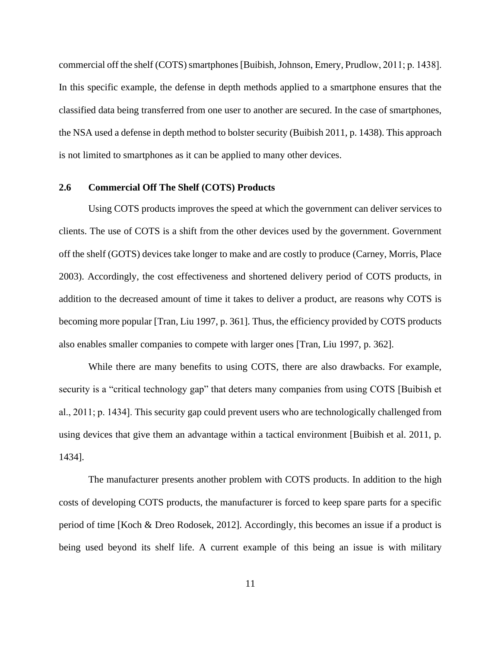commercial off the shelf (COTS) smartphones [Buibish, Johnson, Emery, Prudlow, 2011; p. 1438]. In this specific example, the defense in depth methods applied to a smartphone ensures that the classified data being transferred from one user to another are secured. In the case of smartphones, the NSA used a defense in depth method to bolster security (Buibish 2011, p. 1438). This approach is not limited to smartphones as it can be applied to many other devices.

#### <span id="page-19-0"></span>**2.6 Commercial Off The Shelf (COTS) Products**

Using COTS products improves the speed at which the government can deliver services to clients. The use of COTS is a shift from the other devices used by the government. Government off the shelf (GOTS) devices take longer to make and are costly to produce (Carney, Morris, Place 2003). Accordingly, the cost effectiveness and shortened delivery period of COTS products, in addition to the decreased amount of time it takes to deliver a product, are reasons why COTS is becoming more popular [Tran, Liu 1997, p. 361]. Thus, the efficiency provided by COTS products also enables smaller companies to compete with larger ones [Tran, Liu 1997, p. 362].

While there are many benefits to using COTS, there are also drawbacks. For example, security is a "critical technology gap" that deters many companies from using COTS [Buibish et al., 2011; p. 1434]. This security gap could prevent users who are technologically challenged from using devices that give them an advantage within a tactical environment [Buibish et al. 2011, p. 1434].

The manufacturer presents another problem with COTS products. In addition to the high costs of developing COTS products, the manufacturer is forced to keep spare parts for a specific period of time [Koch & Dreo Rodosek, 2012]. Accordingly, this becomes an issue if a product is being used beyond its shelf life. A current example of this being an issue is with military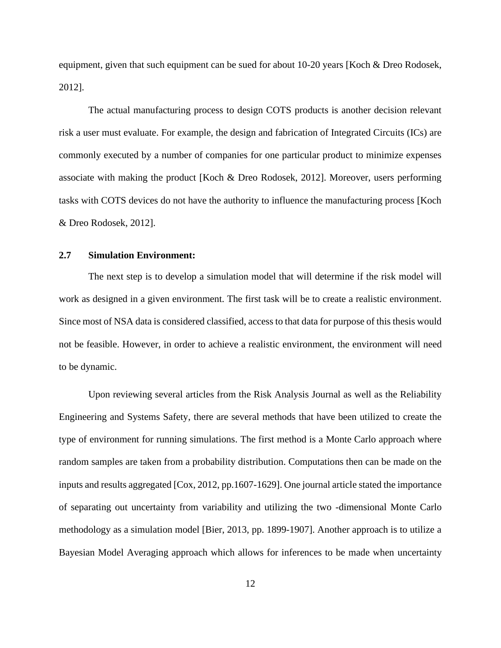equipment, given that such equipment can be sued for about 10-20 years [Koch & Dreo Rodosek, 2012].

The actual manufacturing process to design COTS products is another decision relevant risk a user must evaluate. For example, the design and fabrication of Integrated Circuits (ICs) are commonly executed by a number of companies for one particular product to minimize expenses associate with making the product [Koch & Dreo Rodosek, 2012]. Moreover, users performing tasks with COTS devices do not have the authority to influence the manufacturing process [Koch & Dreo Rodosek, 2012].

#### <span id="page-20-0"></span>**2.7 Simulation Environment:**

The next step is to develop a simulation model that will determine if the risk model will work as designed in a given environment. The first task will be to create a realistic environment. Since most of NSA data is considered classified, access to that data for purpose of this thesis would not be feasible. However, in order to achieve a realistic environment, the environment will need to be dynamic.

Upon reviewing several articles from the Risk Analysis Journal as well as the Reliability Engineering and Systems Safety, there are several methods that have been utilized to create the type of environment for running simulations. The first method is a Monte Carlo approach where random samples are taken from a probability distribution. Computations then can be made on the inputs and results aggregated [Cox, 2012, pp.1607-1629]. One journal article stated the importance of separating out uncertainty from variability and utilizing the two -dimensional Monte Carlo methodology as a simulation model [Bier, 2013, pp. 1899-1907]. Another approach is to utilize a Bayesian Model Averaging approach which allows for inferences to be made when uncertainty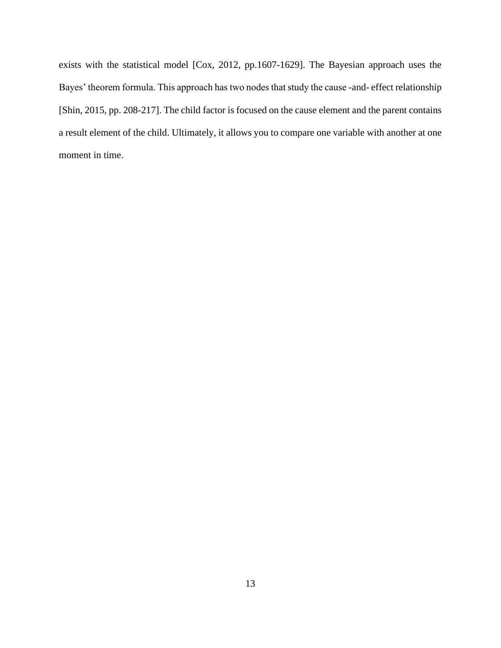exists with the statistical model [Cox, 2012, pp.1607-1629]. The Bayesian approach uses the Bayes' theorem formula. This approach has two nodes that study the cause -and- effect relationship [Shin, 2015, pp. 208-217]. The child factor is focused on the cause element and the parent contains a result element of the child. Ultimately, it allows you to compare one variable with another at one moment in time.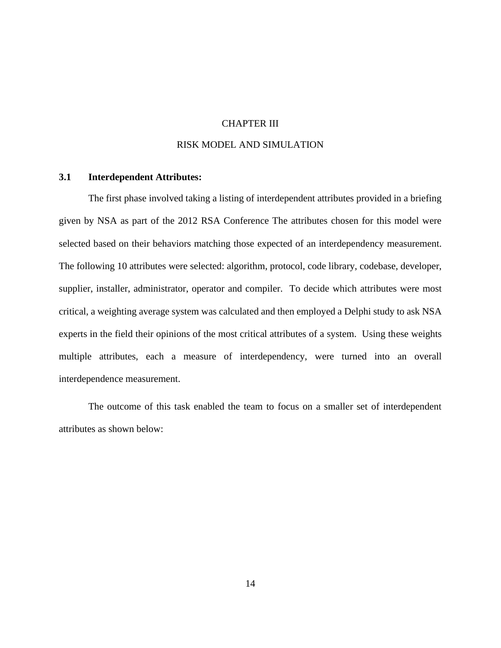#### CHAPTER III

### RISK MODEL AND SIMULATION

### <span id="page-22-1"></span><span id="page-22-0"></span>**3.1 Interdependent Attributes:**

The first phase involved taking a listing of interdependent attributes provided in a briefing given by NSA as part of the 2012 RSA Conference The attributes chosen for this model were selected based on their behaviors matching those expected of an interdependency measurement. The following 10 attributes were selected: algorithm, protocol, code library, codebase, developer, supplier, installer, administrator, operator and compiler. To decide which attributes were most critical, a weighting average system was calculated and then employed a Delphi study to ask NSA experts in the field their opinions of the most critical attributes of a system. Using these weights multiple attributes, each a measure of interdependency, were turned into an overall interdependence measurement.

The outcome of this task enabled the team to focus on a smaller set of interdependent attributes as shown below: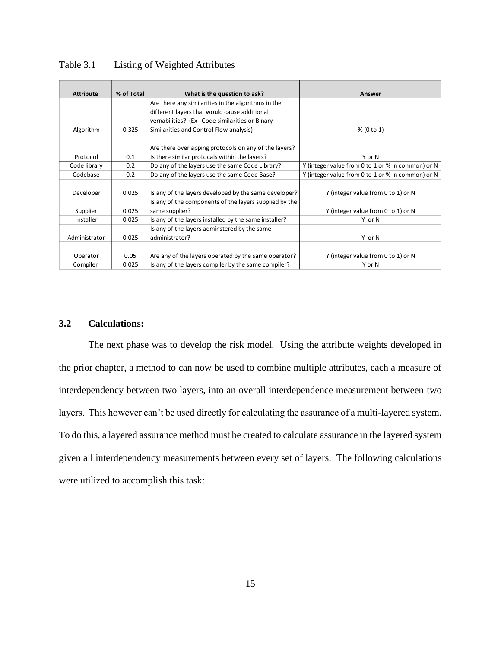| <b>Attribute</b> | % of Total | What is the question to ask?                           | Answer                                            |
|------------------|------------|--------------------------------------------------------|---------------------------------------------------|
|                  |            | Are there any similarities in the algorithms in the    |                                                   |
|                  |            | different layers that would cause additional           |                                                   |
|                  |            | vernabilities? (Ex--Code similarities or Binary        |                                                   |
| Algorithm        | 0.325      | Similarities and Control Flow analysis)                | % (0 to 1)                                        |
|                  |            |                                                        |                                                   |
|                  |            | Are there overlapping protocols on any of the layers?  |                                                   |
| Protocol         | 0.1        | Is there similar protocals within the layers?          | Y or N                                            |
| Code library     | 0.2        | Do any of the layers use the same Code Library?        | Y (integer value from 0 to 1 or % in common) or N |
| Codebase         | 0.2        | Do any of the layers use the same Code Base?           | Y (integer value from 0 to 1 or % in common) or N |
|                  |            |                                                        |                                                   |
| Developer        | 0.025      | Is any of the layers developed by the same developer?  | Y (integer value from 0 to 1) or N                |
|                  |            | Is any of the components of the layers supplied by the |                                                   |
| Supplier         | 0.025      | same supplier?                                         | Y (integer value from 0 to 1) or N                |
| Installer        | 0.025      | Is any of the layers installed by the same installer?  | Y or N                                            |
|                  |            | Is any of the layers adminstered by the same           |                                                   |
| Administrator    | 0.025      | administrator?                                         | Y or N                                            |
|                  |            |                                                        |                                                   |
| Operator         | 0.05       | Are any of the layers operated by the same operator?   | Y (integer value from 0 to 1) or N                |
| Compiler         | 0.025      | Is any of the layers compiler by the same compiler?    | Y or N                                            |

<span id="page-23-1"></span>Table 3.1 Listing of Weighted Attributes

### <span id="page-23-0"></span>**3.2 Calculations:**

The next phase was to develop the risk model. Using the attribute weights developed in the prior chapter, a method to can now be used to combine multiple attributes, each a measure of interdependency between two layers, into an overall interdependence measurement between two layers. This however can't be used directly for calculating the assurance of a multi-layered system. To do this, a layered assurance method must be created to calculate assurance in the layered system given all interdependency measurements between every set of layers. The following calculations were utilized to accomplish this task: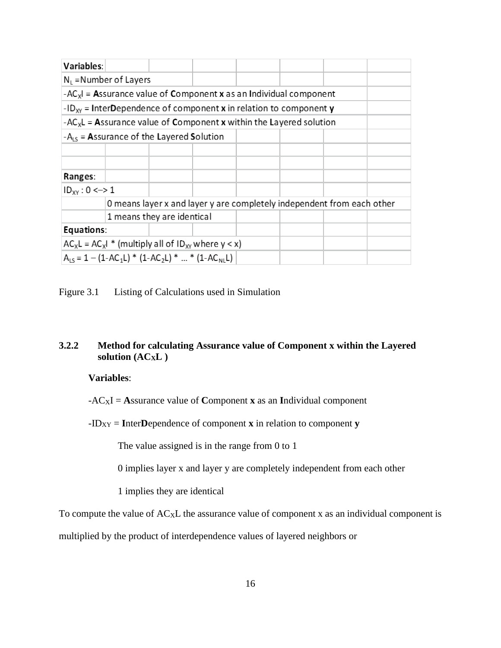| Variables:          |                                                                                             |                            |  |                                                                        |  |
|---------------------|---------------------------------------------------------------------------------------------|----------------------------|--|------------------------------------------------------------------------|--|
|                     | $N_1$ =Number of Layers                                                                     |                            |  |                                                                        |  |
|                     | $-AC_xI$ = Assurance value of Component x as an Individual component                        |                            |  |                                                                        |  |
|                     | -ID <sub>xy</sub> = InterDependence of component <b>x</b> in relation to component <b>y</b> |                            |  |                                                                        |  |
|                     | $-AC_xL =$ Assurance value of Component x within the Layered solution                       |                            |  |                                                                        |  |
|                     | $-A_{15}$ = Assurance of the Layered Solution                                               |                            |  |                                                                        |  |
|                     |                                                                                             |                            |  |                                                                        |  |
|                     |                                                                                             |                            |  |                                                                        |  |
| Ranges:             |                                                                                             |                            |  |                                                                        |  |
| $ID_{XY}$ : 0 <-> 1 |                                                                                             |                            |  |                                                                        |  |
|                     |                                                                                             |                            |  | O means layer x and layer y are completely independent from each other |  |
|                     |                                                                                             | 1 means they are identical |  |                                                                        |  |
| Equations:          |                                                                                             |                            |  |                                                                        |  |
|                     | $AC_xL = AC_xI^*$ (multiply all of $ID_{XY}$ where $y < x$ )                                |                            |  |                                                                        |  |
|                     | $A_{15} = 1 - (1 - AC_1L)^* (1 - AC_2L)^*  * (1 - AC_{N1}L)$                                |                            |  |                                                                        |  |

<span id="page-24-1"></span>Figure 3.1 Listing of Calculations used in Simulation

# <span id="page-24-0"></span>**3.2.2 Method for calculating Assurance value of Component x within the Layered solution (ACXL )**

### **Variables**:

 $-AC_XI =$  **Assurance value of Component <b>x** as an Individual component

 $-ID_{XY}$  = **I**nter**D**ependence of component **x** in relation to component **y** 

The value assigned is in the range from 0 to 1

0 implies layer x and layer y are completely independent from each other

1 implies they are identical

To compute the value of  $AC_xL$  the assurance value of component x as an individual component is

multiplied by the product of interdependence values of layered neighbors or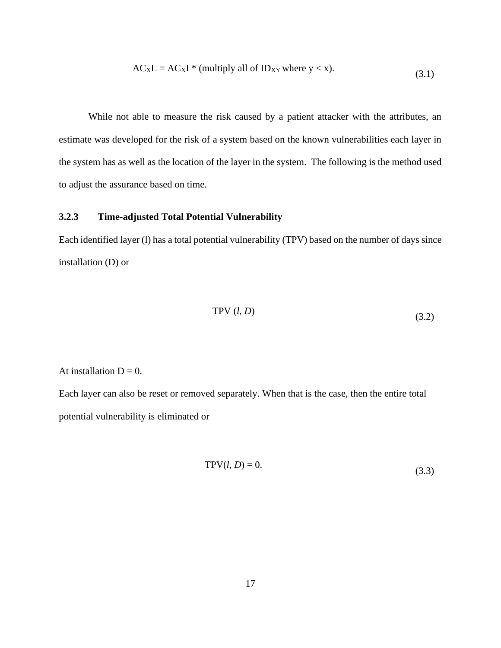$$
AC_XL = AC_XI * (multiply all of ID_{XY} where y < x).
$$
\n(3.1)

While not able to measure the risk caused by a patient attacker with the attributes, an estimate was developed for the risk of a system based on the known vulnerabilities each layer in the system has as well as the location of the layer in the system. The following is the method used to adjust the assurance based on time.

# <span id="page-25-0"></span>**3.2.3 Time-adjusted Total Potential Vulnerability**

Each identified layer (l) has a total potential vulnerability (TPV) based on the number of days since installation (D) or

$$
TPV (l, D) \t\t(3.2)
$$

#### At installation  $D = 0$ .

Each layer can also be reset or removed separately. When that is the case, then the entire total potential vulnerability is eliminated or

$$
TPV(l, D) = 0.\t\t(3.3)
$$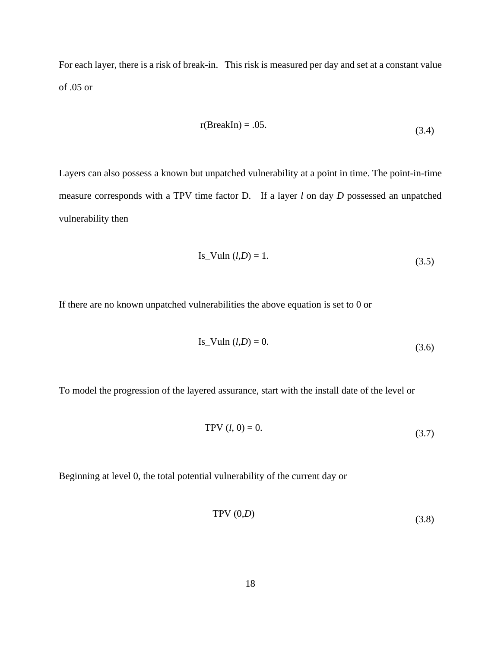For each layer, there is a risk of break-in. This risk is measured per day and set at a constant value of .05 or

$$
r(BreakIn) = .05.
$$
 (3.4)

Layers can also possess a known but unpatched vulnerability at a point in time. The point-in-time measure corresponds with a TPV time factor D. If a layer *l* on day *D* possessed an unpatched vulnerability then

Is\_Vuln (*l*,*D*) = 1. 
$$
(3.5)
$$

If there are no known unpatched vulnerabilities the above equation is set to 0 or

Is\_Vuln 
$$
(l, D) = 0.
$$
 (3.6)

To model the progression of the layered assurance, start with the install date of the level or

$$
TPV (l, 0) = 0.
$$
 (3.7)

Beginning at level 0, the total potential vulnerability of the current day or

$$
TPV(0,D) \tag{3.8}
$$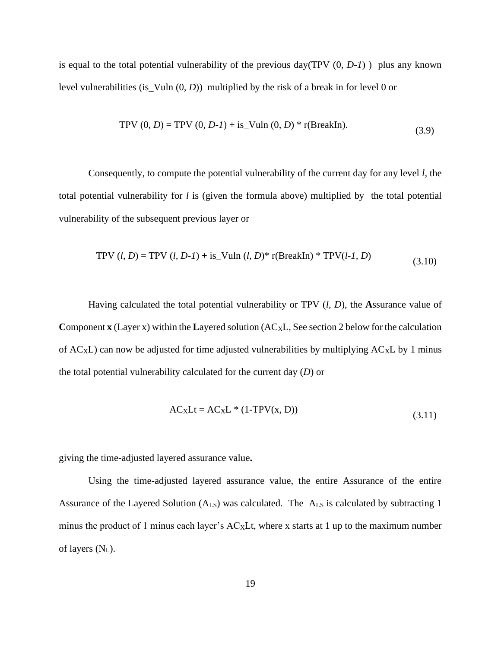is equal to the total potential vulnerability of the previous day(TPV (0*, D-1*) ) plus any known level vulnerabilities (is\_Vuln (0, *D*)) multiplied by the risk of a break in for level 0 or

TPV 
$$
(0, D) = TPV (0, D-1) + is_Vuln (0, D) * r(BreakIn)
$$
. (3.9)

Consequently, to compute the potential vulnerability of the current day for any level *l*, the total potential vulnerability for *l* is (given the formula above) multiplied by the total potential vulnerability of the subsequent previous layer or

TPV 
$$
(l, D) = \text{TPV } (l, D-l) + \text{is_Vuln } (l, D)^* \text{r(BreakIn)} * \text{TPV}(l-l, D)
$$
 (3.10)

Having calculated the total potential vulnerability or TPV (*l, D*), the **A**ssurance value of **Component <b>x** (Layer x) within the Layered solution (AC<sub>X</sub>L, See section 2 below for the calculation of  $AC_xL$ ) can now be adjusted for time adjusted vulnerabilities by multiplying  $AC_xL$  by 1 minus the total potential vulnerability calculated for the current day (*D*) or

$$
AC_XLt = AC_XL * (1-TPV(x, D))
$$
\n(3.11)

giving the time-adjusted layered assurance value**.**

Using the time-adjusted layered assurance value, the entire Assurance of the entire Assurance of the Layered Solution (ALS) was calculated. The ALS is calculated by subtracting 1 minus the product of 1 minus each layer's  $AC_xLt$ , where x starts at 1 up to the maximum number of layers  $(N_L)$ .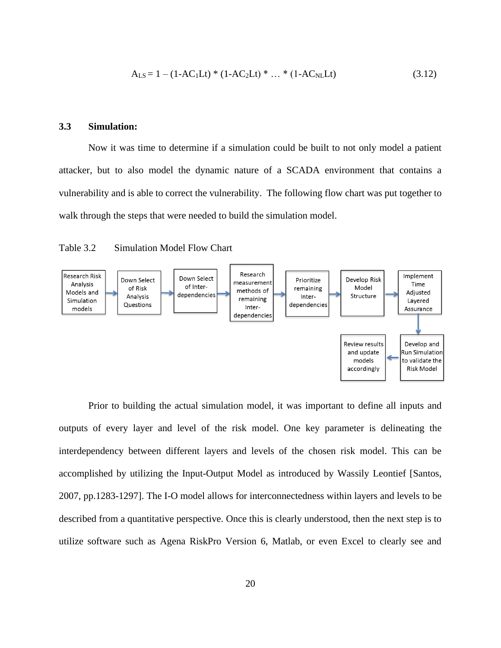$$
A_{LS} = 1 - (1 - AC_1Lt) * (1 - AC_2Lt) * ... * (1 - AC_NLt)
$$
\n(3.12)

#### <span id="page-28-0"></span>**3.3 Simulation:**

Now it was time to determine if a simulation could be built to not only model a patient attacker, but to also model the dynamic nature of a SCADA environment that contains a vulnerability and is able to correct the vulnerability. The following flow chart was put together to walk through the steps that were needed to build the simulation model.

<span id="page-28-1"></span>



Prior to building the actual simulation model, it was important to define all inputs and outputs of every layer and level of the risk model. One key parameter is delineating the interdependency between different layers and levels of the chosen risk model. This can be accomplished by utilizing the Input-Output Model as introduced by Wassily Leontief [Santos, 2007, pp.1283-1297]. The I-O model allows for interconnectedness within layers and levels to be described from a quantitative perspective. Once this is clearly understood, then the next step is to utilize software such as Agena RiskPro Version 6, Matlab, or even Excel to clearly see and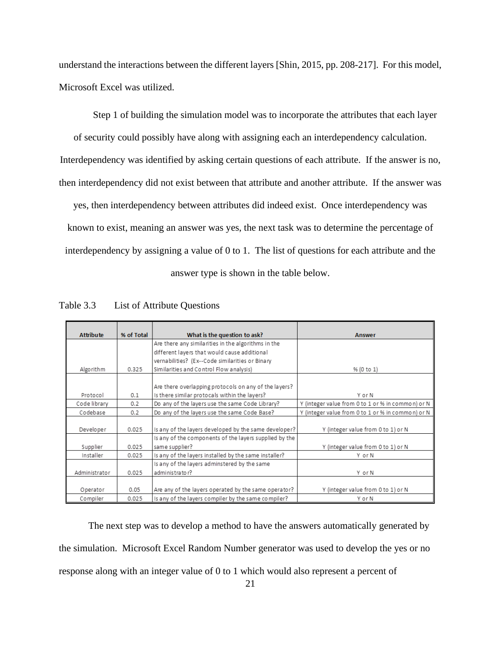understand the interactions between the different layers [Shin, 2015, pp. 208-217]. For this model, Microsoft Excel was utilized.

Step 1 of building the simulation model was to incorporate the attributes that each layer of security could possibly have along with assigning each an interdependency calculation. Interdependency was identified by asking certain questions of each attribute. If the answer is no, then interdependency did not exist between that attribute and another attribute. If the answer was

yes, then interdependency between attributes did indeed exist. Once interdependency was known to exist, meaning an answer was yes, the next task was to determine the percentage of interdependency by assigning a value of 0 to 1. The list of questions for each attribute and the answer type is shown in the table below.

| <b>Attribute</b> | % of Total | What is the question to ask?                           | <b>Answer</b>                                     |
|------------------|------------|--------------------------------------------------------|---------------------------------------------------|
|                  |            | Are there any similarities in the algorithms in the    |                                                   |
|                  |            | different layers that would cause additional           |                                                   |
|                  |            | vernabilities? (Ex--Code similarities or Binary        |                                                   |
| Algorithm        | 0.325      | Similarities and Control Flow analysis)                | % (0 to 1)                                        |
|                  |            |                                                        |                                                   |
|                  |            | Are there overlapping protocols on any of the layers?  |                                                   |
| Protocol         | 0.1        | Is there similar protocals within the layers?          | Y or N                                            |
| Code library     | 0.2        | Do any of the layers use the same Code Library?        | Y (integer value from 0 to 1 or % in common) or N |
| Codebase         | 0.2        | Do any of the layers use the same Code Base?           | Y (integer value from 0 to 1 or % in common) or N |
|                  |            |                                                        |                                                   |
| Developer        | 0.025      | Is any of the layers developed by the same developer?  | Y (integer value from 0 to 1) or N                |
|                  |            | Is any of the components of the layers supplied by the |                                                   |
| Supplier         | 0.025      | same supplier?                                         | Y (integer value from 0 to 1) or N                |
| Installer        | 0.025      | Is any of the layers installed by the same installer?  | Y or N                                            |
|                  |            | Is any of the layers adminstered by the same           |                                                   |
| Administrator    | 0.025      | administrator?                                         | Y or N                                            |
|                  |            |                                                        |                                                   |
| Operator         | 0.05       | Are any of the layers operated by the same operator?   | Y (integer value from 0 to 1) or N                |
| Compiler         | 0.025      | Is any of the layers compiler by the same compiler?    | Y or N                                            |

<span id="page-29-0"></span>Table 3.3 List of Attribute Questions

The next step was to develop a method to have the answers automatically generated by the simulation. Microsoft Excel Random Number generator was used to develop the yes or no response along with an integer value of 0 to 1 which would also represent a percent of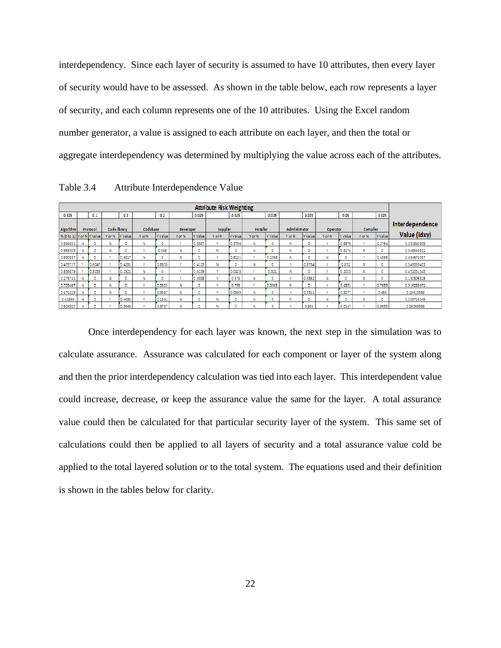interdependency. Since each layer of security is assumed to have 10 attributes, then every layer of security would have to be assessed. As shown in the table below, each row represents a layer of security, and each column represents one of the 10 attributes. Using the Excel random number generator, a value is assigned to each attribute on each layer, and then the total or aggregate interdependency was determined by multiplying the value across each of the attributes.

<span id="page-30-0"></span>

|  | Table 3.4 | Attribute Interdependence Value |  |  |  |
|--|-----------|---------------------------------|--|--|--|
|--|-----------|---------------------------------|--|--|--|

|                           |          |              |         |              |         |                  |         | <b>Attribute Risk Weighting</b> |         |                  |         |               |         |                 |         |           |         |                 |
|---------------------------|----------|--------------|---------|--------------|---------|------------------|---------|---------------------------------|---------|------------------|---------|---------------|---------|-----------------|---------|-----------|---------|-----------------|
| 0.325                     | 0.1      |              | 0.2     |              | 0.2     |                  | 0.025   |                                 | 0.025   |                  | 0.025   |               | 0.025   |                 | 0.05    |           | 0.025   |                 |
| Algorithm                 | Protocol | Code Ilbrary |         | Codebase     |         | <b>Developer</b> |         | Supplier                        |         | <b>Installer</b> |         | Administrator |         | <b>Operator</b> |         | Complier  |         | Interdependence |
| % (0 to 1) Y or N Y Value |          | Y or N       | Y Value | Y or N       | Y Value | Y or N           | Y Value | Y or N                          | Y Value | Y or N           | Y Value | Y or N        | Y Value | Y or N          | Y Value | Y or N    | Y Value | Value (Idxy)    |
| 0.594551                  | 0        | N            | 0       | N            | 0       | $\mathbf{v}$     | 0.8987  | $\mathbf{v}$                    | 0.3736  | N                | 0       | Ν             | 0       | $\mathbf{v}$    | 0.9979  | w         | 0.2764  | 0.281840809     |
| 0.963303                  | O        | Ν            | 0       | A.P          | 0.048   | Ν                | o       | N                               |         | N                | 0       | N             | 0       | $\mathbf{v}$    | 0.5174  | N         | 0       | 0.348543821     |
| 0.990337                  | O        | $\mathbf{v}$ | 0.6917  | N            | 0       | N                |         | <b>A</b>                        | 0.8121  | $\mathbf{v}$     | 0.1068  | N             | o       | Ν               | o       | <b>SF</b> | 0.4596  | 0.494672057     |
| 0.479777                  | 0.6047   | $\sim$       | 0.4291  | $\mathbf{v}$ | 0.8605  | $\mathbf{v}$     | 0.4119  | Ν                               |         | Ν                | 0       | $\mathbf{v}$  | 0.8754  | $\mathbf{v}$    | 0.851   | Ν         | 0       | 0.549053403     |
| 0.856879                  | 0.8033   | $\mathbf{v}$ | 0.2921  | N            | 0       | s.e              | 0.6239  | S.P                             | 0.0428  | $\mathbf{v}$     | 0.321   | Ν             | 0       | $\mathbf{v}$    | 0.2025  | N         | 0       | 0.452051545     |
| 0.273711                  | O        | N            | 0       | N            | 0       | <b>A</b>         | 0.9398  |                                 | 0.379   | N                | ٥       | $\mathbf{v}$  | 0.3352  | Ν               | o       | N         | 0       | 0.130306523     |
| 0.703467                  | o        | Ν            | 0       | A.P          | 0.0651  | Ν                | 0       | S.P                             | 0.799   | $\mathbf{v}$     | 0.5565  | Ν             | 0       | $\mathbf{v}$    | 0.4301  | M         | 0.7699  | 0.316288671     |
| 0.171329                  | O        | N            | 0       | A.P          | 0.3587  | N                | o       | A.P                             | 0.0599  | N                | 0       | <b>SP</b>     | 0.3311  | $\mathbf{v}$    | 0.9077  | S.P       | 0.463   | 0.19415569      |
| 0.41598                   | O        | And in       | 0.4635  | NP.          | 0.1541  | N                |         | N                               |         | Ν                | ٥       | N             | o       | Ν               | O       | Ν         | o       | 0.258716549     |
| 0.604957                  | D        |              | 0.8548  |              | 0.8737  | Ν                |         | N                               |         | N                | 0       |               | 0.955   |                 | 0.0147  |           | 0.8699  | 0.59066988      |

Once interdependency for each layer was known, the next step in the simulation was to calculate assurance. Assurance was calculated for each component or layer of the system along and then the prior interdependency calculation was tied into each layer. This interdependent value could increase, decrease, or keep the assurance value the same for the layer. A total assurance value could then be calculated for that particular security layer of the system. This same set of calculations could then be applied to all layers of security and a total assurance value cold be applied to the total layered solution or to the total system. The equations used and their definition is shown in the tables below for clarity.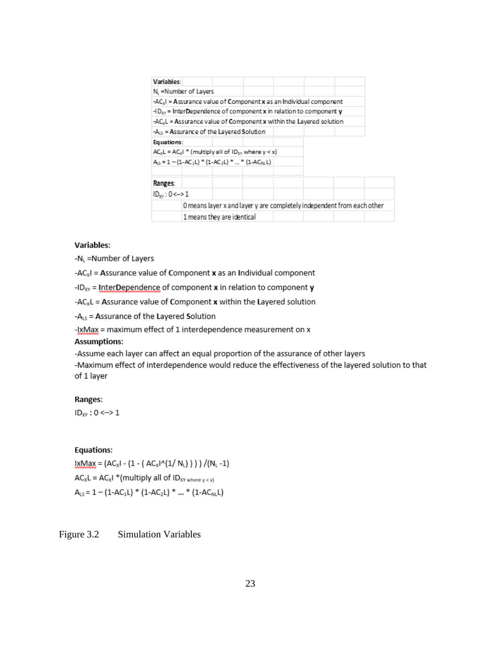| Variables:                                                             |
|------------------------------------------------------------------------|
|                                                                        |
| N <sub>1</sub> =Number of Layers                                       |
| $-AC_xI$ = Assurance value of Component x as an Individual component   |
| $-1D_{xy}$ = InterDependence of component x in relation to component y |
| $-AC_xL =$ Assurance value of Component x within the Layered solution  |
| $-ALS$ = Assurance of the Layered Solution                             |
| Equations:                                                             |
| $AC_xL = AC_xI * (multiply all of ID_{XY} where y < x)$                |
| $A_{LS} = 1 - (1 - AC_1L)^* (1 - AC_2L)^*  * (1 - AC_{NL}L)$           |
|                                                                        |
| Ranges:                                                                |
| $ID_{yy}$ : 0 <-> 1                                                    |
| O means layer x and layer y are completely independent from each other |
|                                                                        |

#### **Variables:**

-NL =Number of Layers

-AC<sub>x</sub>I = Assurance value of Component x as an Individual component

-ID<sub>xy</sub> = InterDependence of component  $x$  in relation to component  $y$ 

-AC<sub>x</sub>L = Assurance value of Component x within the Layered solution

-ALS = Assurance of the Layered Solution

-IxMax = maximum effect of 1 interdependence measurement on x

#### **Assumptions:**

-Assume each layer can affect an equal proportion of the assurance of other layers -Maximum effect of interdependence would reduce the effectiveness of the layered solution to that of 1 layer

#### Ranges:

 $ID_{XY}$ : 0 <-> 1

#### **Equations:**

 $1 \times Max = (AC_xI - (1 - (AC_xI^(1/N_L))) ) / (N_L - 1)$  $AC_xL = AC_xI * (multiply all of ID_{XY\text{ where }y\lt x)}$  $A_{LS} = 1 - (1 - AC_1L) * (1 - AC_2L) * ... * (1 - AC_{NL}L)$ 

<span id="page-31-0"></span>Figure 3.2 Simulation Variables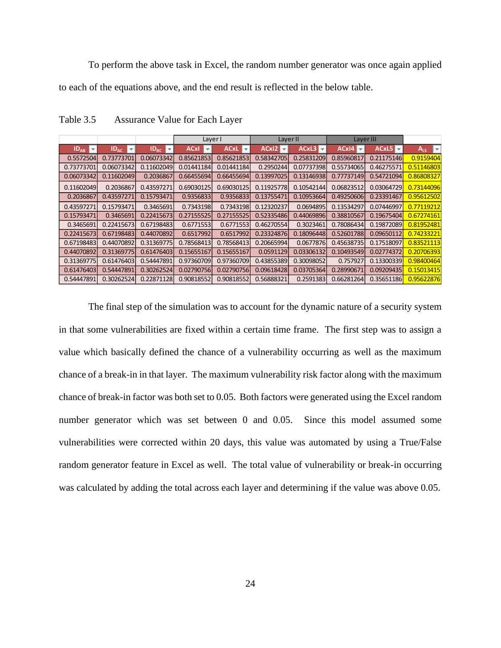To perform the above task in Excel, the random number generator was once again applied to each of the equations above, and the end result is reflected in the below table.

|                           |                  |                   | Layer I                                 |                                        |                                               | Layer II   | Layer III  |            |                                      |
|---------------------------|------------------|-------------------|-----------------------------------------|----------------------------------------|-----------------------------------------------|------------|------------|------------|--------------------------------------|
| $ID_{AB}$<br>$\mathbf{r}$ | $ID_{AC}$<br>l v | $AD_{BC}$<br>l v. | <b>ACxI</b><br>$\overline{\phantom{a}}$ | <b>ACxL</b><br>$\overline{\mathbf{v}}$ | ACxI <sub>2</sub><br>$\overline{\phantom{a}}$ | ACxL3      | ACxI4      | ACxL5      | $\vert \downarrow \vert$<br>$A_{15}$ |
| 0.5572504                 | 0.73773701       | 0.06073342        | 0.85621853                              | 0.85621853                             | 0.58342705                                    | 0.25831209 | 0.85960817 | 0.21175146 | 0.9159404                            |
| 0.73773701                | 0.06073342       | 0.11602049        | 0.01441184                              | 0.01441184                             | 0.2950244                                     | 0.07737398 | 0.55734065 | 0.46275571 | 0.51146803                           |
| 0.06073342                | 0.11602049       | 0.2036867         | 0.66455694                              | 0.66455694                             | 0.13997025                                    | 0.13146938 | 0.77737149 | 0.54721094 | 0.86808327                           |
| 0.11602049                | 0.2036867        | 0.43597271        | 0.69030125                              | 0.69030125                             | 0.11925778                                    | 0.10542144 | 0.06823512 | 0.03064729 | 0.73144096                           |
| 0.2036867                 | 0.43597271       | 0.15793471        | 0.9356833                               | 0.9356833                              | 0.13755471                                    | 0.10953664 | 0.49250606 | 0.23391467 | 0.95612502                           |
| 0.43597271                | 0.15793471       | 0.3465691         | 0.7343198                               | 0.7343198                              | 0.12320237                                    | 0.0694895  | 0.13534297 | 0.07446997 | 0.77119212                           |
| 0.15793471                | 0.3465691        | 0.22415673        | 0.27155525                              | 0.27155525                             | 0.52335486                                    | 0.44069896 | 0.38810567 | 0.19675404 | 0.67274161                           |
| 0.3465691                 | 0.22415673       | 0.67198483        | 0.6771553                               | 0.6771553                              | 0.46270554                                    | 0.3023461  | 0.78086434 | 0.19872089 | 0.81952481                           |
| 0.22415673                | 0.67198483       | 0.44070892        | 0.6517992                               | 0.6517992                              | 0.23324876                                    | 0.18096448 | 0.52601788 | 0.09650112 | 0.74233221                           |
| 0.67198483                | 0.44070892       | 0.31369775        | 0.78568413                              | 0.78568413                             | 0.20665994                                    | 0.0677876  | 0.45638735 | 0.17518097 | 0.83521113                           |
| 0.44070892                | 0.31369775       | 0.61476403        | 0.15655167                              | 0.15655167                             | 0.0591129                                     | 0.03306132 | 0.10493549 | 0.02774372 | 0.20706393                           |
| 0.31369775                | 0.61476403       | 0.54447891        | 0.97360709                              | 0.97360709                             | 0.43855389                                    | 0.30098052 | 0.757927   | 0.13300339 | 0.98400464                           |
| 0.61476403                | 0.54447891       | 0.30262524        | 0.02790756                              | 0.02790756                             | 0.09618428                                    | 0.03705364 | 0.28990671 | 0.09209435 | 0.15013415                           |
| 0.54447891                | 0.30262524       | 0.22871128        | 0.90818552                              | 0.90818552                             | 0.56888321                                    | 0.2591383  | 0.66281264 | 0.35651186 | 0.95622876                           |

<span id="page-32-0"></span>Table 3.5 Assurance Value for Each Layer

The final step of the simulation was to account for the dynamic nature of a security system in that some vulnerabilities are fixed within a certain time frame. The first step was to assign a value which basically defined the chance of a vulnerability occurring as well as the maximum chance of a break-in in that layer. The maximum vulnerability risk factor along with the maximum chance of break-in factor was both set to 0.05. Both factors were generated using the Excel random number generator which was set between 0 and 0.05. Since this model assumed some vulnerabilities were corrected within 20 days, this value was automated by using a True/False random generator feature in Excel as well. The total value of vulnerability or break-in occurring was calculated by adding the total across each layer and determining if the value was above 0.05.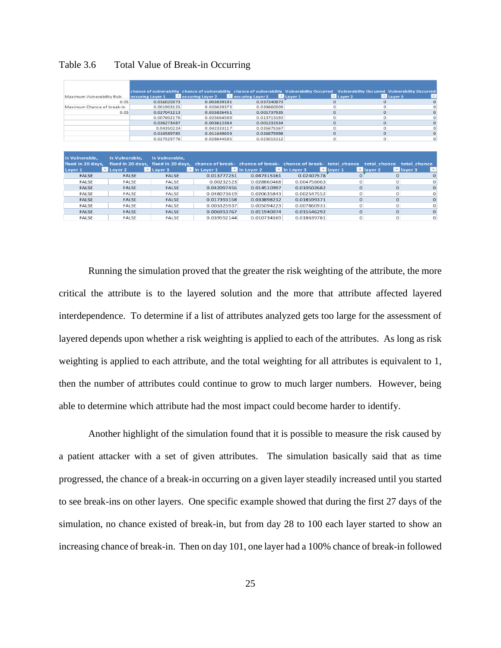|                                   |                  |                        | chance of vulnerability chance of vulnerability chance of vulnerability Vulnerability Occurred Vulnerability Occurred Vulnerability Occurred |                   |                     |                        |                        |                        |
|-----------------------------------|------------------|------------------------|----------------------------------------------------------------------------------------------------------------------------------------------|-------------------|---------------------|------------------------|------------------------|------------------------|
| Maximum Vulnera bility Risk:      | occuring Layer 1 |                        | <b>Net occuring Layer 2</b>                                                                                                                  | Coccuring Layer 3 | L <sub>aver 1</sub> | $\blacksquare$ Layer 2 | $\blacksquare$ Layer 3 |                        |
|                                   | 0.05             | 0.016025973            | 0.003839191                                                                                                                                  | 0.037240873       |                     | $\Omega$               | $\Omega$               |                        |
| Maximum Chance of break-in        |                  | 0.001903125            | 0.020639373                                                                                                                                  | 0.039660509       |                     | о                      | 0                      |                        |
|                                   | 0.05             | 0.027041213            | 0.015826451                                                                                                                                  | 0.001737935       |                     | $\mathbf{o}$           | $\mathbf{O}$           |                        |
|                                   |                  | 0.007602176            | 0.025664588                                                                                                                                  | 0.013713193       |                     | $\Omega$               | $\Omega$               |                        |
|                                   |                  | 0.036273487            | 0.003612384                                                                                                                                  | 0.001231534       |                     | $\mathbf{O}$           | $\mathbf{O}$           |                        |
|                                   |                  | 0.04350224             | 0.042333117                                                                                                                                  | 0.035675167       |                     | $\Omega$               | 0                      |                        |
|                                   |                  | 0.016589785            | 0.011649659                                                                                                                                  | 0.026675998       |                     | $\mathbf{o}$           | $\mathbf{O}$           |                        |
|                                   |                  | 0.027529776            | 0.028644585                                                                                                                                  | 0.023015112       |                     | 0                      | $\circ$                | $\Omega$               |
|                                   |                  |                        |                                                                                                                                              |                   |                     |                        |                        |                        |
|                                   |                  |                        |                                                                                                                                              |                   |                     |                        |                        |                        |
|                                   |                  |                        |                                                                                                                                              |                   |                     |                        |                        |                        |
| Is Vulnerable,                    | Is Vulnerable,   | Is Vulnerable,         |                                                                                                                                              |                   |                     |                        |                        |                        |
| fixed in 20 days,                 |                  |                        | fixed in 20 days, fixed in 20 days, chance of break- chance of break- chance of break- total chance total chance total chance                |                   |                     |                        |                        |                        |
| $\blacksquare$ Layer 2<br>Layer 1 |                  | $\blacksquare$ Layer 3 | $\blacksquare$ in Layer 1                                                                                                                    | in Layer 2        | in Layer 3          | $\blacksquare$ laver 1 | $\blacksquare$ layer 2 | $\blacksquare$ layer 3 |
| <b>FALSE</b>                      | <b>FALSE</b>     | <b>FALSE</b>           | 0.013777251                                                                                                                                  | 0.047315161       | 0.02407578          | o                      | $\Omega$               |                        |
| FALSE                             | FALSE            | FALSE                  | 0.00232523                                                                                                                                   | 0.028860468       | 0.004756063         | $\Omega$               | <sup>o</sup>           |                        |
| <b>FALSE</b>                      | <b>FALSE</b>     | <b>FALSE</b>           | 0.042097456                                                                                                                                  | 0.014510997       | 0.010502682         | $\Omega$               | $\Omega$               |                        |
| FALSE                             | <b>FALSE</b>     | FALSE                  | 0.048073619                                                                                                                                  | 0.020635843       | 0.002547552         | $\Omega$               | O                      |                        |
| <b>FALSE</b>                      | <b>FALSE</b>     | <b>FALSE</b>           | 0.017393158                                                                                                                                  | 0.033898212       | 0.018599371         | $\Omega$               | 0                      |                        |
| <b>FALSE</b>                      | <b>FALSE</b>     | <b>FALSE</b>           | 0.003325937                                                                                                                                  | 0.005094223       | 0.007860931         | $\Omega$               | $\Omega$               |                        |
| <b>FALSE</b>                      | <b>FALSE</b>     | <b>FALSE</b>           | 0.006913767                                                                                                                                  | 0.011940074       | 0.015546292         | $\mathbf 0$            | $\Omega$               | $\Omega$               |

<span id="page-33-0"></span>Table 3.6 Total Value of Break-in Occurring

Running the simulation proved that the greater the risk weighting of the attribute, the more critical the attribute is to the layered solution and the more that attribute affected layered interdependence. To determine if a list of attributes analyzed gets too large for the assessment of layered depends upon whether a risk weighting is applied to each of the attributes. As long as risk weighting is applied to each attribute, and the total weighting for all attributes is equivalent to 1, then the number of attributes could continue to grow to much larger numbers. However, being able to determine which attribute had the most impact could become harder to identify.

Another highlight of the simulation found that it is possible to measure the risk caused by a patient attacker with a set of given attributes. The simulation basically said that as time progressed, the chance of a break-in occurring on a given layer steadily increased until you started to see break-ins on other layers. One specific example showed that during the first 27 days of the simulation, no chance existed of break-in, but from day 28 to 100 each layer started to show an increasing chance of break-in. Then on day 101, one layer had a 100% chance of break-in followed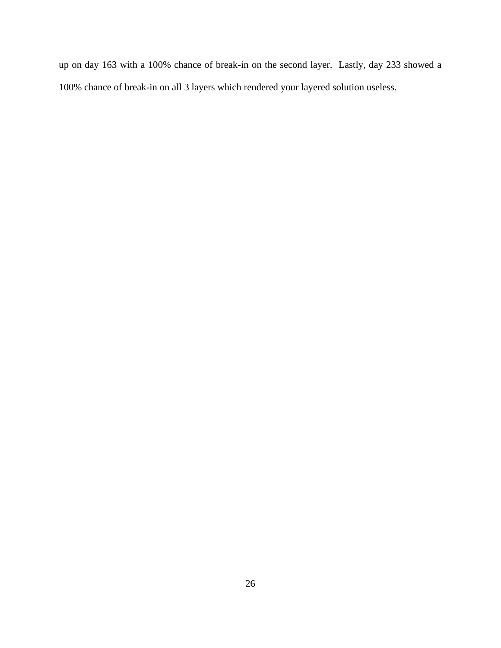up on day 163 with a 100% chance of break-in on the second layer. Lastly, day 233 showed a 100% chance of break-in on all 3 layers which rendered your layered solution useless.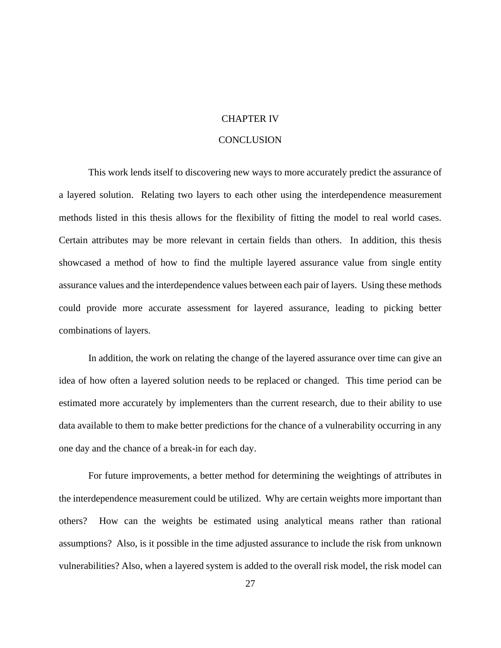#### CHAPTER IV

#### **CONCLUSION**

<span id="page-35-0"></span>This work lends itself to discovering new ways to more accurately predict the assurance of a layered solution. Relating two layers to each other using the interdependence measurement methods listed in this thesis allows for the flexibility of fitting the model to real world cases. Certain attributes may be more relevant in certain fields than others. In addition, this thesis showcased a method of how to find the multiple layered assurance value from single entity assurance values and the interdependence values between each pair of layers. Using these methods could provide more accurate assessment for layered assurance, leading to picking better combinations of layers.

In addition, the work on relating the change of the layered assurance over time can give an idea of how often a layered solution needs to be replaced or changed. This time period can be estimated more accurately by implementers than the current research, due to their ability to use data available to them to make better predictions for the chance of a vulnerability occurring in any one day and the chance of a break-in for each day.

For future improvements, a better method for determining the weightings of attributes in the interdependence measurement could be utilized. Why are certain weights more important than others? How can the weights be estimated using analytical means rather than rational assumptions? Also, is it possible in the time adjusted assurance to include the risk from unknown vulnerabilities? Also, when a layered system is added to the overall risk model, the risk model can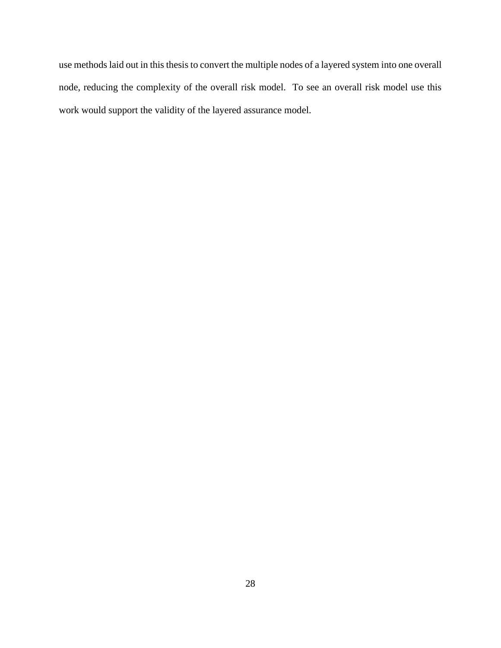use methods laid out in this thesis to convert the multiple nodes of a layered system into one overall node, reducing the complexity of the overall risk model. To see an overall risk model use this work would support the validity of the layered assurance model.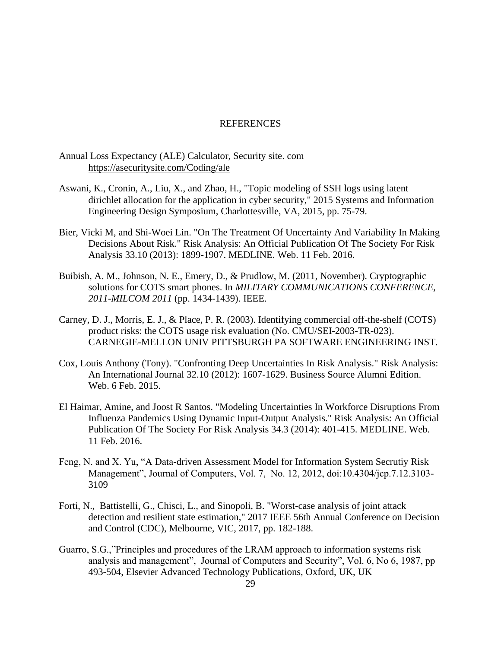#### **REFERENCES**

#### <span id="page-37-0"></span>Annual Loss Expectancy (ALE) Calculator, Security site. com <https://asecuritysite.com/Coding/ale>

- Aswani, K., Cronin, A., Liu, X., and Zhao, H., "Topic modeling of SSH logs using latent dirichlet allocation for the application in cyber security," 2015 Systems and Information Engineering Design Symposium, Charlottesville, VA, 2015, pp. 75-79.
- Bier, Vicki M, and Shi-Woei Lin. "On The Treatment Of Uncertainty And Variability In Making Decisions About Risk." Risk Analysis: An Official Publication Of The Society For Risk Analysis 33.10 (2013): 1899-1907. MEDLINE. Web. 11 Feb. 2016.
- Buibish, A. M., Johnson, N. E., Emery, D., & Prudlow, M. (2011, November). Cryptographic solutions for COTS smart phones. In *MILITARY COMMUNICATIONS CONFERENCE, 2011-MILCOM 2011* (pp. 1434-1439). IEEE.
- Carney, D. J., Morris, E. J., & Place, P. R. (2003). Identifying commercial off-the-shelf (COTS) product risks: the COTS usage risk evaluation (No. CMU/SEI-2003-TR-023). CARNEGIE-MELLON UNIV PITTSBURGH PA SOFTWARE ENGINEERING INST.
- Cox, Louis Anthony (Tony). "Confronting Deep Uncertainties In Risk Analysis." Risk Analysis: An International Journal 32.10 (2012): 1607-1629. Business Source Alumni Edition. Web. 6 Feb. 2015.
- El Haimar, Amine, and Joost R Santos. "Modeling Uncertainties In Workforce Disruptions From Influenza Pandemics Using Dynamic Input-Output Analysis." Risk Analysis: An Official Publication Of The Society For Risk Analysis 34.3 (2014): 401-415. MEDLINE. Web. 11 Feb. 2016.
- Feng, N. and X. Yu, "A Data-driven Assessment Model for Information System Secrutiy Risk Management", Journal of Computers, Vol. 7, No. 12, 2012, doi:10.4304/jcp.7.12.3103- 3109
- Forti, N., Battistelli, G., Chisci, L., and Sinopoli, B. "Worst-case analysis of joint attack detection and resilient state estimation," 2017 IEEE 56th Annual Conference on Decision and Control (CDC), Melbourne, VIC, 2017, pp. 182-188.
- Guarro, S.G.,"Principles and procedures of the LRAM approach to information systems risk analysis and management", Journal of Computers and Security", Vol. 6, No 6, 1987, pp 493-504, Elsevier Advanced Technology Publications, Oxford, UK, UK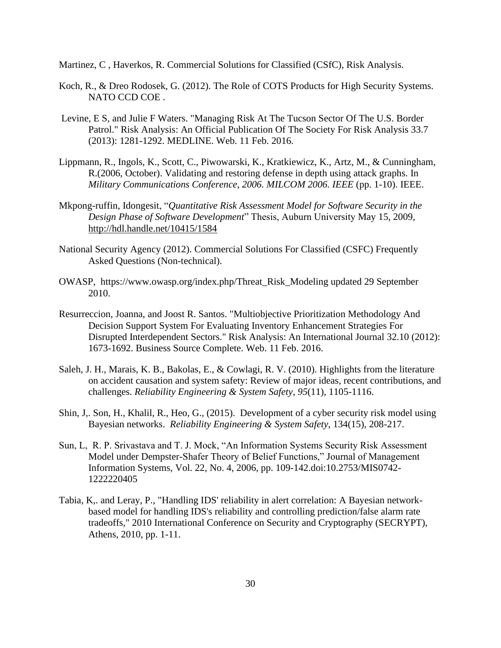Martinez, C , Haverkos, R. Commercial Solutions for Classified (CSfC), Risk Analysis.

- Koch, R., & Dreo Rodosek, G. (2012). The Role of COTS Products for High Security Systems. NATO CCD COE .
- Levine, E S, and Julie F Waters. "Managing Risk At The Tucson Sector Of The U.S. Border Patrol." Risk Analysis: An Official Publication Of The Society For Risk Analysis 33.7 (2013): 1281-1292. MEDLINE. Web. 11 Feb. 2016.
- Lippmann, R., Ingols, K., Scott, C., Piwowarski, K., Kratkiewicz, K., Artz, M., & Cunningham, R.(2006, October). Validating and restoring defense in depth using attack graphs. In *Military Communications Conference, 2006. MILCOM 2006. IEEE* (pp. 1-10). IEEE.
- Mkpong-ruffin, Idongesit, "*Quantitative Risk Assessment Model for Software Security in the Design Phase of Software Development*" Thesis, Auburn University May 15, 2009, <http://hdl.handle.net/10415/1584>
- National Security Agency (2012). Commercial Solutions For Classified (CSFC) Frequently Asked Questions (Non-technical).
- OWASP, https://www.owasp.org/index.php/Threat\_Risk\_Modeling updated 29 September 2010.
- Resurreccion, Joanna, and Joost R. Santos. "Multiobjective Prioritization Methodology And Decision Support System For Evaluating Inventory Enhancement Strategies For Disrupted Interdependent Sectors." Risk Analysis: An International Journal 32.10 (2012): 1673-1692. Business Source Complete. Web. 11 Feb. 2016.
- Saleh, J. H., Marais, K. B., Bakolas, E., & Cowlagi, R. V. (2010). Highlights from the literature on accident causation and system safety: Review of major ideas, recent contributions, and challenges. *Reliability Engineering & System Safety*, *95*(11), 1105-1116.
- Shin, J,. Son, H., Khalil, R., Heo, G., (2015). Development of a cyber security risk model using Bayesian networks. *Reliability Engineering & System Safety*, 134(15), 208-217.
- Sun, L, R. P. Srivastava and T. J. Mock, "An Information Systems Security Risk Assessment Model under Dempster-Shafer Theory of Belief Functions," Journal of Management Information Systems, Vol. 22, No. 4, 2006, pp. 109-142[.doi:10.2753/MIS0742-](http://dx.doi.org/10.2753/MIS0742-1222220405) [1222220405](http://dx.doi.org/10.2753/MIS0742-1222220405)
- Tabia, K,. and Leray, P., "Handling IDS' reliability in alert correlation: A Bayesian networkbased model for handling IDS's reliability and controlling prediction/false alarm rate tradeoffs," 2010 International Conference on Security and Cryptography (SECRYPT), Athens, 2010, pp. 1-11.